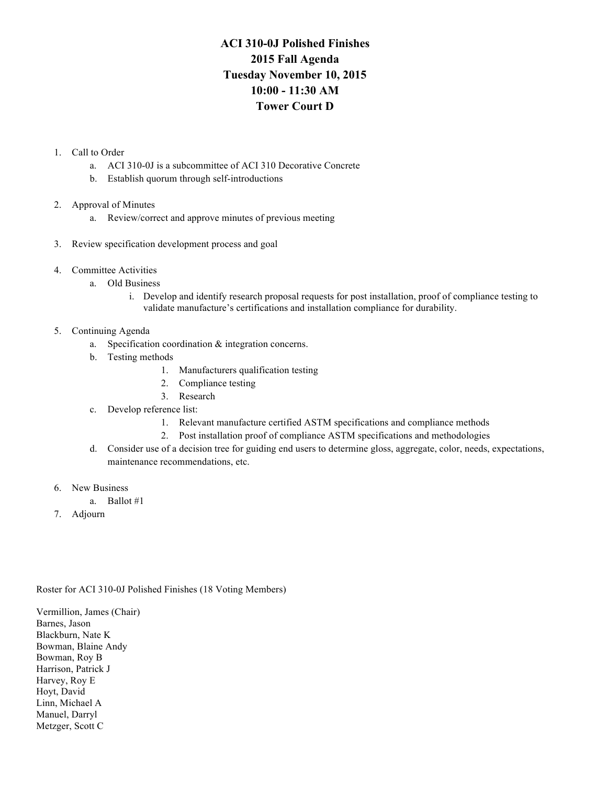## **ACI 310-0J Polished Finishes 2015 Fall Agenda Tuesday November 10, 2015 10:00 - 11:30 AM Tower Court D**

## 1. Call to Order

- a. ACI 310-0J is a subcommittee of ACI 310 Decorative Concrete
- b. Establish quorum through self-introductions
- 2. Approval of Minutes
	- a. Review/correct and approve minutes of previous meeting
- 3. Review specification development process and goal
- 4. Committee Activities
	- a. Old Business
		- i. Develop and identify research proposal requests for post installation, proof of compliance testing to validate manufacture's certifications and installation compliance for durability.

## 5. Continuing Agenda

- a. Specification coordination & integration concerns.
- b. Testing methods
	- 1. Manufacturers qualification testing
	- 2. Compliance testing
	- 3. Research
- c. Develop reference list:
	- 1. Relevant manufacture certified ASTM specifications and compliance methods
	- 2. Post installation proof of compliance ASTM specifications and methodologies
- d. Consider use of a decision tree for guiding end users to determine gloss, aggregate, color, needs, expectations, maintenance recommendations, etc.
- 6. New Business
	- a. Ballot #1
- 7. Adjourn

## Roster for ACI 310-0J Polished Finishes (18 Voting Members)

Vermillion, James (Chair) Barnes, Jason Blackburn, Nate K Bowman, Blaine Andy Bowman, Roy B Harrison, Patrick J Harvey, Roy E Hoyt, David Linn, Michael A Manuel, Darryl Metzger, Scott C